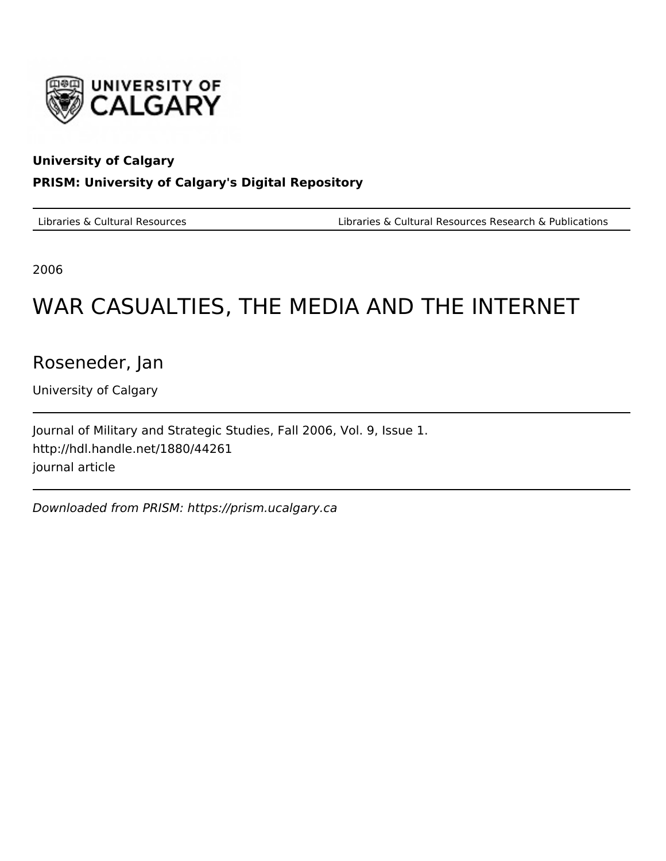

#### **University of Calgary**

### **PRISM: University of Calgary's Digital Repository**

Libraries & Cultural Resources Libraries & Cultural Resources Research & Publications

2006

# WAR CASUALTIES, THE MEDIA AND THE INTERNET

Roseneder, Jan

University of Calgary

Journal of Military and Strategic Studies, Fall 2006, Vol. 9, Issue 1. http://hdl.handle.net/1880/44261 journal article

Downloaded from PRISM: https://prism.ucalgary.ca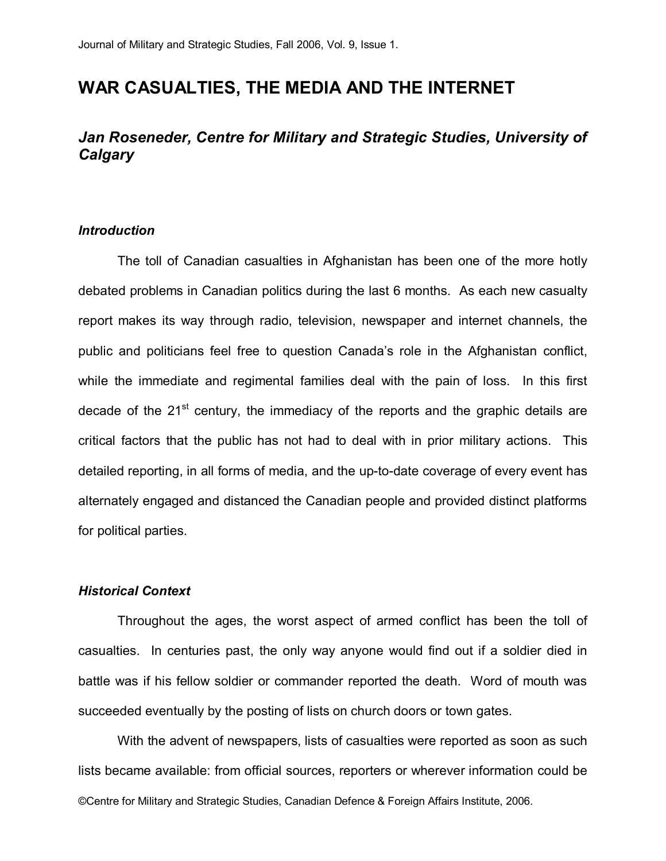## **WAR CASUALTIES, THE MEDIA AND THE INTERNET**

## *Jan Roseneder, Centre for Military and Strategic Studies, University of Calgary*

#### *Introduction*

The toll of Canadian casualties in Afghanistan has been one of the more hotly debated problems in Canadian politics during the last 6 months. As each new casualty report makes its way through radio, television, newspaper and internet channels, the public and politicians feel free to question Canada's role in the Afghanistan conflict, while the immediate and regimental families deal with the pain of loss. In this first decade of the  $21<sup>st</sup>$  century, the immediacy of the reports and the graphic details are critical factors that the public has not had to deal with in prior military actions. This detailed reporting, in all forms of media, and the up-to-date coverage of every event has alternately engaged and distanced the Canadian people and provided distinct platforms for political parties.

#### *Historical Context*

Throughout the ages, the worst aspect of armed conflict has been the toll of casualties. In centuries past, the only way anyone would find out if a soldier died in battle was if his fellow soldier or commander reported the death. Word of mouth was succeeded eventually by the posting of lists on church doors or town gates.

©Centre for Military and Strategic Studies, Canadian Defence & Foreign Affairs Institute, 2006. With the advent of newspapers, lists of casualties were reported as soon as such lists became available: from official sources, reporters or wherever information could be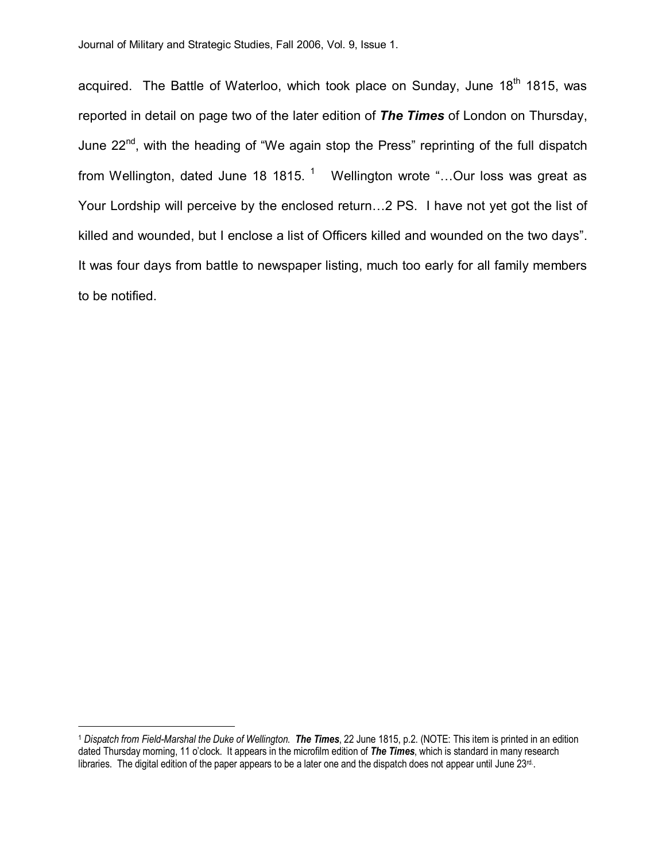acquired. The Battle of Waterloo, which took place on Sunday, June 18<sup>th</sup> 1815, was reported in detail on page two of the later edition of *The Times* of London on Thursday, June 22<sup>nd</sup>, with the heading of "We again stop the Press" reprinting of the full dispatch from Wellington, dated June 18 1815.  $1$  Wellington wrote "...Our loss was great as Your Lordship will perceive by the enclosed return…2 PS. I have not yet got the list of killed and wounded, but I enclose a list of Officers killed and wounded on the two days". It was four days from battle to newspaper listing, much too early for all family members to be notified.

<sup>1</sup> *Dispatch from FieldMarshal the Duke of Wellington*. *The Times*, 22 June 1815, p.2. (NOTE: This item isprinted in an edition dated Thursday morning, 11 o'clock. It appears in the microfilm edition of *The Times*, which is standard in many research libraries. The digital edition of the paper appears to be a later one and the dispatch does not appear until June  $23<sup>rd</sup>$ .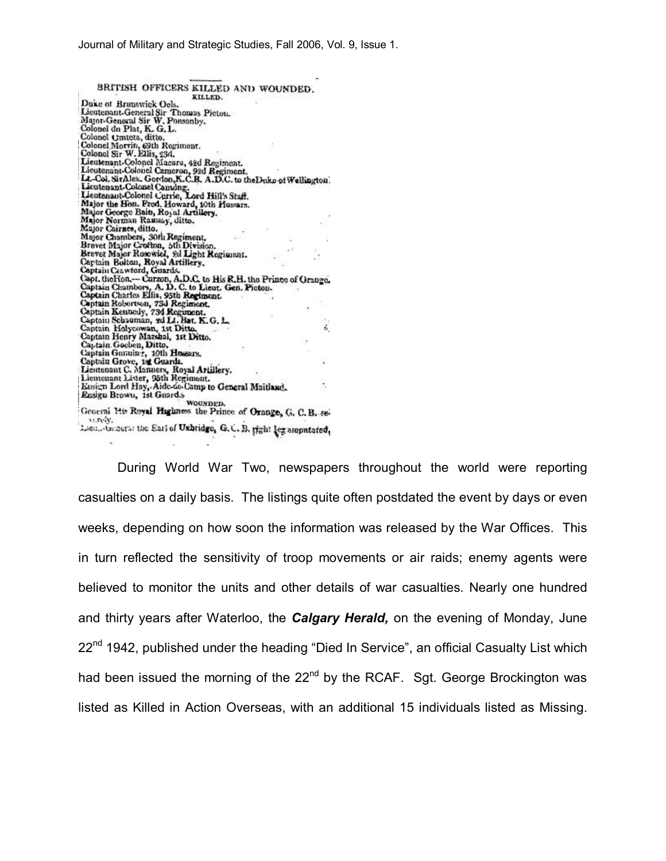BRITISH OFFICERS KILLED AND WOUNDED. KILLED. Duke of Branswick Oels. Lieutenant-General Sir Thomas Picton.<br>Major-General Sir W. Ponsonby.<br>Colonel da Plat, K. G. L. Colonel Crateta, ditto. Colonel Morrin, 69th Regiment.<br>Colonel Sir W. Ellis, 23d. Lieutenant-Colonel Macara, 42d Regiment.<br>Lieutenant-Colonel Cemeron, 92d Regiment.<br>La-Col. SirAlex. Gordon, X.C.B. A.D.C. to the Duke of Wellington.<br>L.-Col. SirAlex. Gordon, X.C.B. A.D.C. to the Duke of Wellington. Lieutesant-Colonel Canding.<br>Lieutesant-Colonel Canding.<br>Lieutesant-Colonel Carrie, Lord Hill's Staff.<br>Major the Hon. Fred. Howard, 10th Hussan.<br>Major George Baib, Royal Artillery. Major Norman Ramsay, ditto. Major Cairnes, ditto. Major Chirnes, ditto.<br>
Major Chambers, 30th Regiment,<br>
Brevet Major Crothon, 5th Division.<br>
Brevet Major Rosewicl, 9d Light Regiment.<br>
Captain Bolton, Royal Artillery,<br>
Captain Gawtord, Guards.<br>
Captain Chambers, A. D.C. t Captain Charles Ellis, 95th Regiment.<br>Captain Reiortson, 73d Regiment.<br>Captain Reimedy, 73d Regiment.<br>Captain Schauman, 3d L4. Bat. K. G. L.<br>Captain Holycowan, 1st Ditto.<br>Captain Holycowan, 1st Ditto.<br>Captain Goelen, Ditto ô, Eusign Lord Hay, Aide-Go-Camp to General Maitland. ×. Eusign Lord Hay, Aide Go Camp to Ge<br>Easign Brown, 1st Guard.s<br>Contract Merchant Wouxingh. Geoeral His Royal Highness the Prince of Orange, G. C. B. sevi.relv. Lieu. In ours: the Earl of Uxhtidge, G.C. B. sight leg amputated,

During World War Two, newspapers throughout the world were reporting casualties on a daily basis. The listings quite often postdated the event by days or even weeks, depending on how soon the information was released by the War Offices. This in turn reflected the sensitivity of troop movements or air raids; enemy agents were believed to monitor the units and other details of war casualties. Nearly one hundred and thirty years after Waterloo, the *Calgary Herald,* on the evening of Monday, June  $22<sup>nd</sup>$  1942, published under the heading "Died In Service", an official Casualty List which had been issued the morning of the  $22<sup>nd</sup>$  by the RCAF. Sgt. George Brockington was listed as Killed in Action Overseas, with an additional 15 individuals listed as Missing.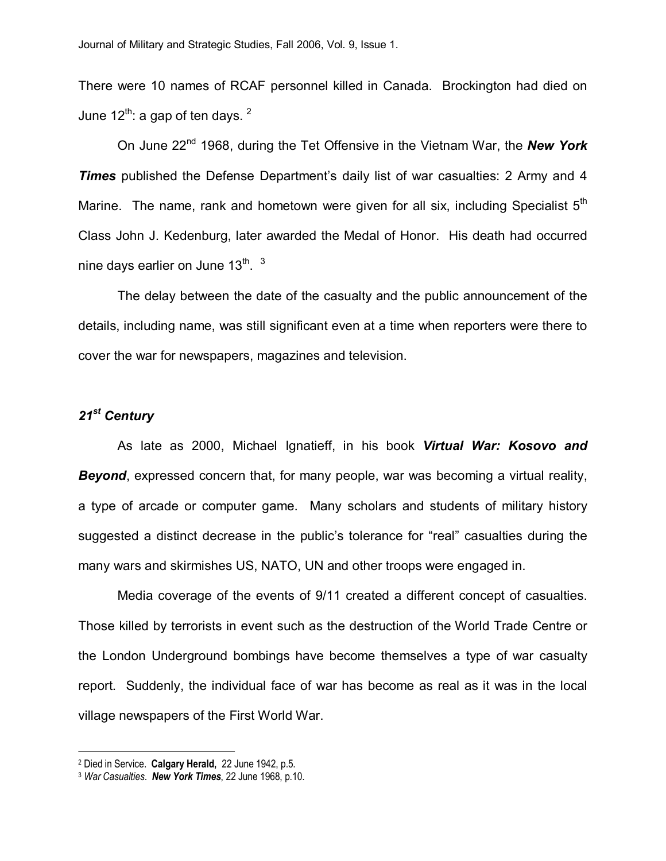There were 10 names of RCAF personnel killed in Canada. Brockington had died on June  $12^{th}$ : a gap of ten days.  $2^{th}$ 

On June 22nd 1968, during the Tet Offensive in the Vietnam War, the *New York Times* published the Defense Department's daily list of war casualties: 2 Army and 4 Marine. The name, rank and hometown were given for all six, including Specialist  $5<sup>th</sup>$ Class John J. Kedenburg, later awarded the Medal of Honor. His death had occurred nine days earlier on June 13 $^{\sf th}$ .  $^{\sf 3}$ 

The delay between the date of the casualty and the public announcement of the details, including name, was still significant even at a time when reporters were there to cover the war for newspapers, magazines and television.

## *21st Century*

As late as 2000, Michael Ignatieff, in his book *Virtual War: Kosovo and Beyond*, expressed concern that, for many people, war was becoming a virtual reality, a type of arcade or computer game. Many scholars and students of military history suggested a distinct decrease in the public's tolerance for "real" casualties during the many wars and skirmishes US, NATO, UN and other troops were engaged in.

Media coverage of the events of 9/11 created a different concept of casualties. Those killed by terrorists in event such as the destruction of the World Trade Centre or the London Underground bombings have become themselves a type of war casualty report. Suddenly, the individual face of war has become as real as it was in the local village newspapers of the First World War.

<sup>2</sup> Died in Service. **Calgary Herald,** 22 June 1942, p.5.

<sup>3</sup> *War Casualties*. *New York Times*, 22 June 1968, p.10.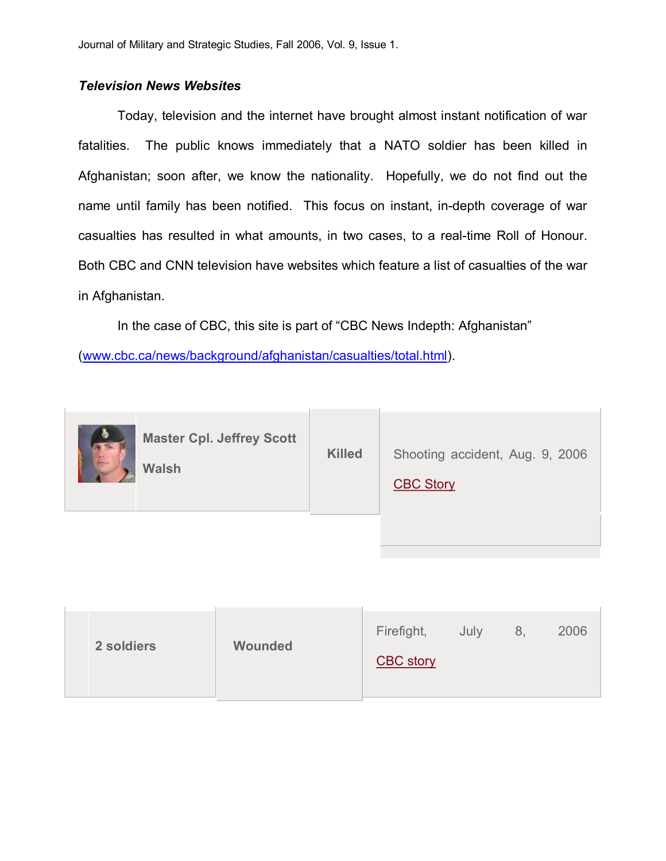## *Television News Websites*

Today, television and the internet have brought almost instant notification of war fatalities. The public knows immediately that a NATO soldier has been killed in Afghanistan; soon after, we know the nationality. Hopefully, we do not find out the name until family has been notified. This focus on instant, in-depth coverage of war casualties has resulted in what amounts, in two cases, to a real-time Roll of Honour. Both CBC and CNN television have websites which feature a list of casualties of the war in Afghanistan.

In the case of CBC, this site is part of "CBC News Indepth: Afghanistan"

([www.cbc.ca/news/background/afghanistan/casualties/total.html](http://www.cbc.ca/news/background/afghanistan/casualties/total.html)).

| ◎ | <b>Master Cpl. Jeffrey Scott</b><br><b>Walsh</b> | <b>Killed</b> | Shooting accident, Aug. 9, 2006<br><b>CBC Story</b> |
|---|--------------------------------------------------|---------------|-----------------------------------------------------|
|   |                                                  |               |                                                     |

| 2 soldiers | <b>Wounded</b> | 2006<br>Firefight,<br>July<br>8,<br><b>CBC</b> story |
|------------|----------------|------------------------------------------------------|
|            |                |                                                      |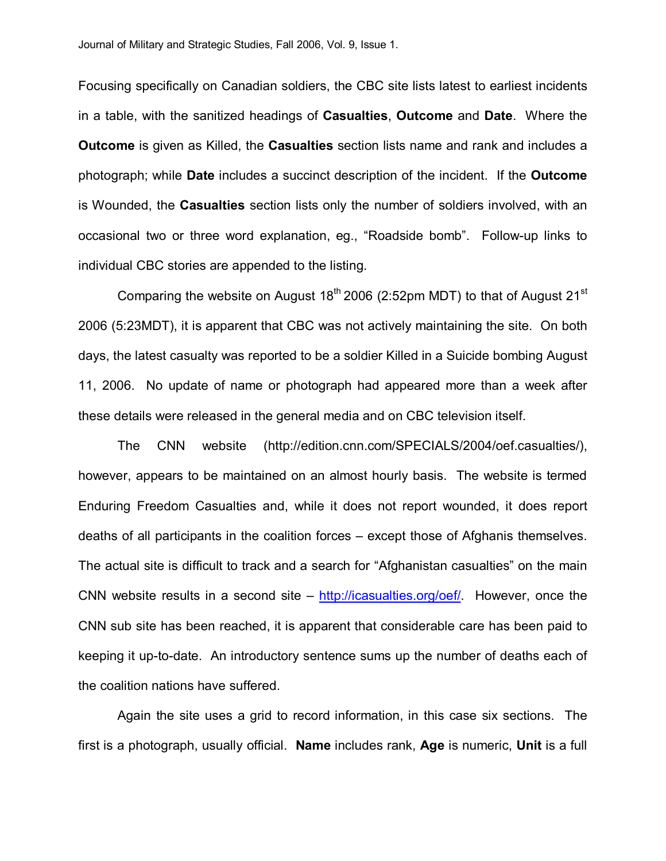Focusing specifically on Canadian soldiers, the CBC site lists latest to earliest incidents in a table, with the sanitized headings of **Casualties**, **Outcome** and **Date**. Where the **Outcome** is given as Killed, the **Casualties** section lists name and rank and includes a photograph; while **Date** includes a succinct description of the incident. If the **Outcome** is Wounded, the **Casualties** section lists only the number of soldiers involved, with an occasional two or three word explanation, eg., "Roadside bomb". Followup links to individual CBC stories are appended to the listing.

Comparing the website on August  $18<sup>th</sup>$  2006 (2:52pm MDT) to that of August 21<sup>st</sup> 2006 (5:23MDT), it is apparent that CBC was not actively maintaining the site. On both days, the latest casualty was reported to be a soldier Killed in a Suicide bombing August 11, 2006. No update of name or photograph had appeared more than a week after these details were released in the general media and on CBC television itself.

The CNN website (http://edition.cnn.com/SPECIALS/2004/oef.casualties/), however, appears to be maintained on an almost hourly basis. The website is termed Enduring Freedom Casualties and, while it does not report wounded, it does report deaths of all participants in the coalition forces – except those of Afghanis themselves. The actual site is difficult to track and a search for "Afghanistan casualties" on the main CNN website results in a second site – [http://icasualties.org/oef/.](http://icasualties.org/oef/) However, once the CNN sub site has been reached, it is apparent that considerable care has been paid to keeping it up-to-date. An introductory sentence sums up the number of deaths each of the coalition nations have suffered.

Again the site uses a grid to record information, in this case six sections. The first is a photograph, usually official. **Name** includes rank, **Age** is numeric, **Unit** is a full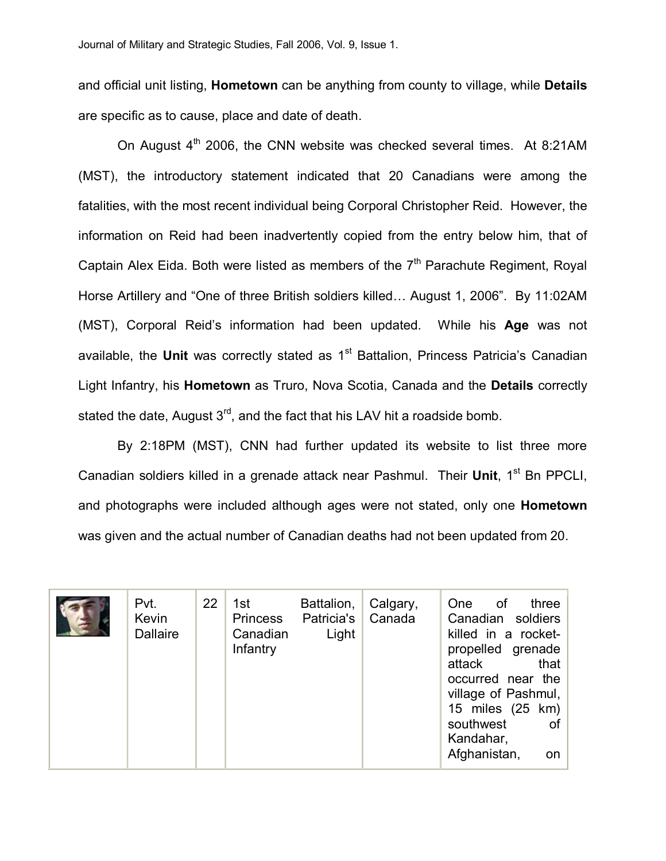and official unit listing, **Hometown** can be anything from county to village, while **Details** are specific as to cause, place and date of death.

On August  $4<sup>th</sup>$  2006, the CNN website was checked several times. At 8:21AM (MST), the introductory statement indicated that 20 Canadians were among the fatalities, with the most recent individual being Corporal Christopher Reid. However, the information on Reid had been inadvertently copied from the entry below him, that of Captain Alex Eida. Both were listed as members of the  $7<sup>th</sup>$  Parachute Regiment, Royal Horse Artillery and "One of three British soldiers killed… August 1, 2006". By 11:02AM (MST), Corporal Reid's information had been updated. While his **Age** was not available, the Unit was correctly stated as 1<sup>st</sup> Battalion, Princess Patricia's Canadian Light Infantry, his **Hometown** as Truro, Nova Scotia, Canada and the **Details** correctly stated the date, August  $3<sup>rd</sup>$ , and the fact that his LAV hit a roadside bomb.

By 2:18PM (MST), CNN had further updated its website to list three more Canadian soldiers killed in a grenade attack near Pashmul. Their **Unit**, 1<sup>st</sup> Bn PPCLI, and photographs were included although ages were not stated, only one **Hometown** was given and the actual number of Canadian deaths had not been updated from 20.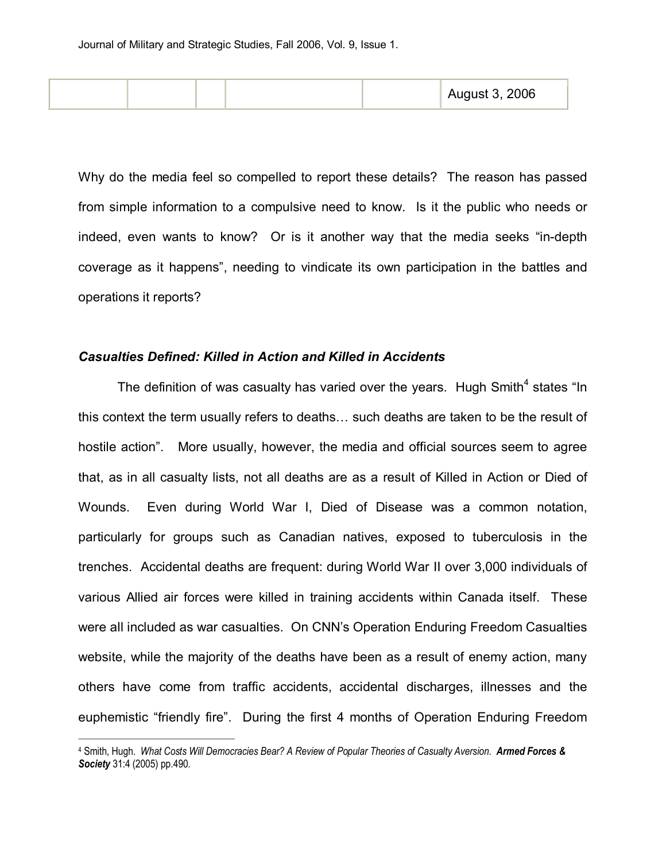|  | August 3, 2006 |
|--|----------------|
|--|----------------|

Why do the media feel so compelled to report these details? The reason has passed from simple information to a compulsive need to know. Is it the public who needs or indeed, even wants to know? Or is it another way that the media seeks "in-depth" coverage as it happens", needing to vindicate its own participation in the battles and operations it reports?

#### *Casualties Defined: Killed in Action and Killed in Accidents*

The definition of was casualty has varied over the years. Hugh Smith<sup>4</sup> states "In this context the term usually refers to deaths… such deaths are taken to be the result of hostile action". More usually, however, the media and official sources seem to agree that, as in all casualty lists, not all deaths are as a result of Killed in Action or Died of Wounds. Even during World War I, Died of Disease was a common notation, particularly for groups such as Canadian natives, exposed to tuberculosis in the trenches. Accidental deaths are frequent: during World War II over 3,000 individuals of various Allied air forces were killed in training accidents within Canada itself. These were all included as war casualties. On CNN's Operation Enduring Freedom Casualties website, while the majority of the deaths have been as a result of enemy action, many others have come from traffic accidents, accidental discharges, illnesses and the euphemistic "friendly fire". During the first 4 months of Operation Enduring Freedom

<sup>4</sup> Smith, Hugh. *What Costs Will Democracies Bear? A Review of Popular Theories of Casualty Aversion. Armed Forces & Society* 31:4 (2005) pp.490.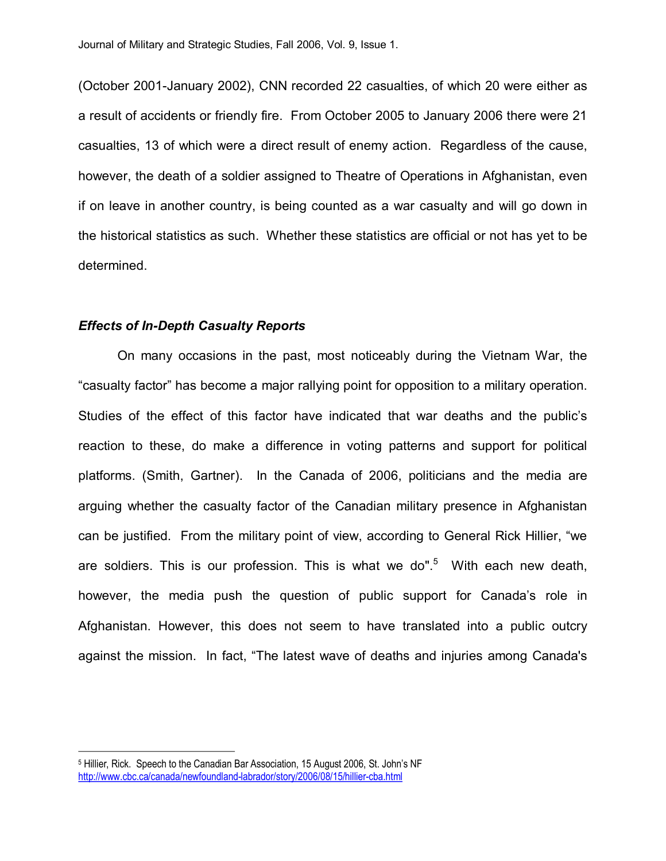(October 2001-January 2002), CNN recorded 22 casualties, of which 20 were either as a result of accidents or friendly fire. From October 2005 to January 2006 there were 21 casualties, 13 of which were a direct result of enemy action. Regardless of the cause, however, the death of a soldier assigned to Theatre of Operations in Afghanistan, even if on leave in another country, is being counted as a war casualty and will go down in the historical statistics as such. Whether these statistics are official or not has yet to be determined.

#### *Effects of In-Depth Casualty Reports*

On many occasions in the past, most noticeably during the Vietnam War, the "casualty factor" has become a major rallying point for opposition to a military operation. Studies of the effect of this factor have indicated that war deaths and the public's reaction to these, do make a difference in voting patterns and support for political platforms. (Smith, Gartner). In the Canada of 2006, politicians and the media are arguing whether the casualty factor of the Canadian military presence in Afghanistan can be justified. From the military point of view, according to General Rick Hillier, "we are soldiers. This is our profession. This is what we do".<sup>5</sup> With each new death, however, the media push the question of public support for Canada's role in Afghanistan. However, this does not seem to have translated into a public outcry against the mission. In fact, "The latest wave of deaths and injuries among Canada's

<sup>5</sup> Hillier, Rick. Speech to the Canadian Bar Association, 15 August 2006, St. John's NF http://www.cbc.ca/canada/newfoundland-labrador/story/2006/08/15/hillier-cba.html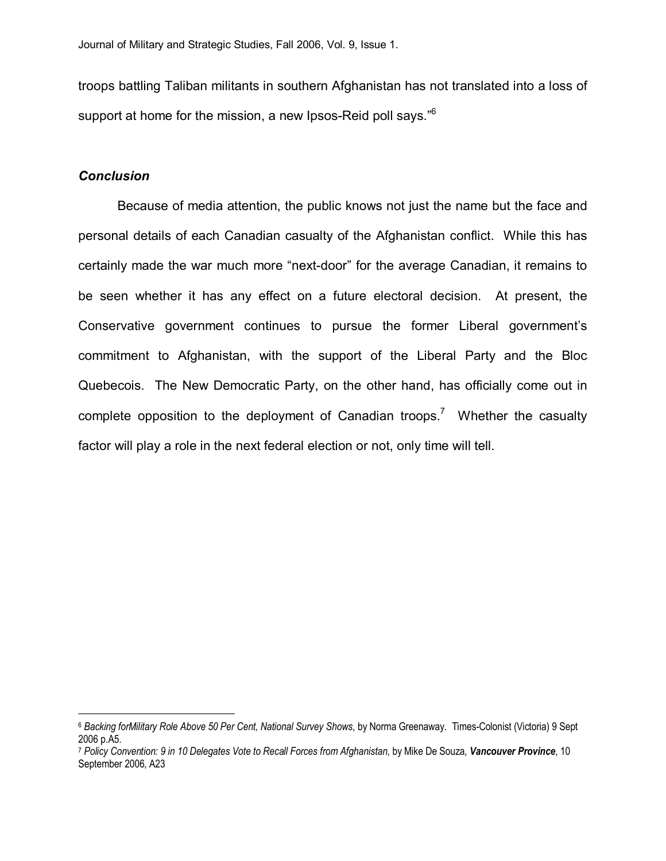troops battling Taliban militants in southern Afghanistan has not translated into a loss of support at home for the mission, a new Ipsos-Reid poll says."<sup>6</sup>

#### *Conclusion*

Because of media attention, the public knows not just the name but the face and personal details of each Canadian casualty of the Afghanistan conflict. While this has certainly made the war much more "next-door" for the average Canadian, it remains to be seen whether it has any effect on a future electoral decision. At present, the Conservative government continues to pursue the former Liberal government's commitment to Afghanistan, with the support of the Liberal Party and the Bloc Quebecois. The New Democratic Party, on the other hand, has officially come out in complete opposition to the deployment of Canadian troops.<sup>7</sup> Whether the casualty factor will play a role in the next federal election or not, only time will tell.

<sup>6</sup> *Backing forMilitary Role Above 50 Per Cent, National Survey Shows*, by Norma Greenaway. TimesColonist (Victoria) 9 Sept 2006 p.A5.

<sup>7</sup> *Policy Convention: 9 in 10 Delegates Vote to Recall Forces from Afghanistan*, by Mike De Souza, *Vancouver Province*, 10 September 2006, A23